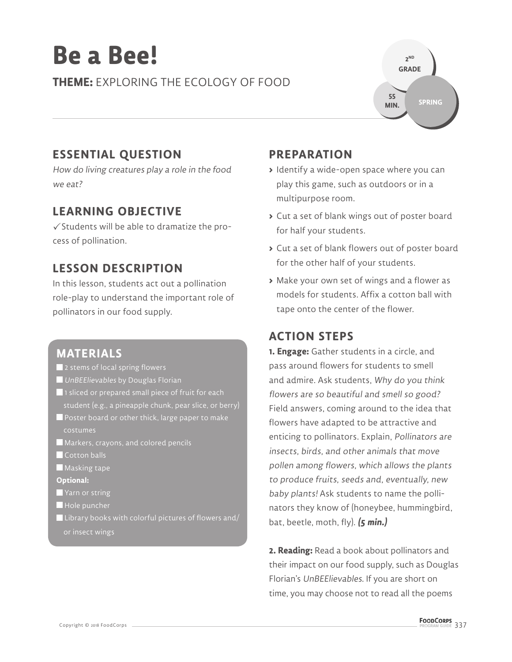# **Be a Bee!**

**THEME:** EXPLORING THE ECOLOGY OF FOOD



# **ESSENTIAL QUESTION**

How do living creatures play a role in the food we eat?

## **LEARNING OBJECTIVE**

 $\checkmark$  Students will be able to dramatize the process of pollination.

## **LESSON DESCRIPTION**

In this lesson, students act out a pollination role-play to understand the important role of pollinators in our food supply.

## **MATERIALS**

- 2 stems of local spring flowers
- **UnBEElievables by Douglas Florian**
- ■1 sliced or prepared small piece of fruit for each student (e.g., a pineapple chunk, pear slice, or berry)
- Poster board or other thick, large paper to make costumes
- Markers, crayons, and colored pencils
- Cotton balls
- **Masking tape**
- **Optional:**
- Yarn or string
- Hole puncher
- $\blacksquare$  Library books with colorful pictures of flowers and/ or insect wings

## **PREPARATION**

- **>** Identify a wide-open space where you can play this game, such as outdoors or in a multipurpose room.
- **>** Cut a set of blank wings out of poster board for half your students.
- **>** Cut a set of blank flowers out of poster board for the other half of your students.
- **>** Make your own set of wings and a flower as models for students. Affix a cotton ball with tape onto the center of the flower.

## **ACTION STEPS**

**1. Engage:** Gather students in a circle, and pass around flowers for students to smell and admire. Ask students, Why do you think flowers are so beautiful and smell so good? Field answers, coming around to the idea that flowers have adapted to be attractive and enticing to pollinators. Explain, Pollinators are insects, birds, and other animals that move pollen among flowers, which allows the plants to produce fruits, seeds and, eventually, new baby plants! Ask students to name the pollinators they know of (honeybee, hummingbird, bat, beetle, moth, fly). **(5 min.)**

**2. Reading:** Read a book about pollinators and their impact on our food supply, such as Douglas Florian's UnBEElievables. If you are short on time, you may choose not to read all the poems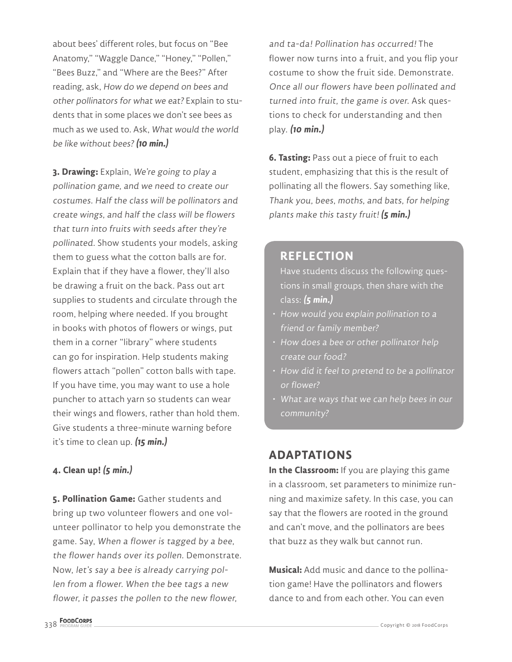about bees' different roles, but focus on "Bee Anatomy," "Waggle Dance," "Honey," "Pollen," "Bees Buzz," and "Where are the Bees?" After reading, ask, How do we depend on bees and other pollinators for what we eat? Explain to students that in some places we don't see bees as much as we used to. Ask, What would the world be like without bees?**(10 min.)**

**3. Drawing:** Explain, We're going to play a pollination game, and we need to create our costumes. Half the class will be pollinators and create wings, and half the class will be flowers that turn into fruits with seeds after they're pollinated. Show students your models, asking them to guess what the cotton balls are for. Explain that if they have a flower, they'll also be drawing a fruit on the back. Pass out art supplies to students and circulate through the room, helping where needed. If you brought in books with photos of flowers or wings, put them in a corner "library" where students can go for inspiration. Help students making flowers attach "pollen" cotton balls with tape. If you have time, you may want to use a hole puncher to attach yarn so students can wear their wings and flowers, rather than hold them. Give students a three-minute warning before it's time to clean up. **(15 min.)**

## **4. Clean up! (5 min.)**

**5. Pollination Game:** Gather students and bring up two volunteer flowers and one volunteer pollinator to help you demonstrate the game. Say, When a flower is tagged by a bee, the flower hands over its pollen. Demonstrate. Now, let's say a bee is already carrying pollen from a flower. When the bee tags a new flower, it passes the pollen to the new flower,

and ta-da! Pollination has occurred! The flower now turns into a fruit, and you flip your costume to show the fruit side. Demonstrate. Once all our flowers have been pollinated and turned into fruit, the game is over. Ask questions to check for understanding and then play. **(10 min.)**

**6. Tasting:** Pass out a piece of fruit to each student, emphasizing that this is the result of pollinating all the flowers. Say something like, Thank you, bees, moths, and bats, for helping plants make this tasty fruit! **(5 min.)**

## **REFLECTION**

Have students discuss the following questions in small groups, then share with the class: **(5 min.)**

- How would you explain pollination to a friend or family member?
- How does a bee or other pollinator help create our food?
- How did it feel to pretend to be a pollinator or flower?
- $\,\cdot\,$  What are ways that we can help bees in our community?

## **ADAPTATIONS**

**In the Classroom:** If you are playing this game in a classroom, set parameters to minimize running and maximize safety. In this case, you can say that the flowers are rooted in the ground and can't move, and the pollinators are bees that buzz as they walk but cannot run.

**Musical:** Add music and dance to the pollination game! Have the pollinators and flowers dance to and from each other. You can even